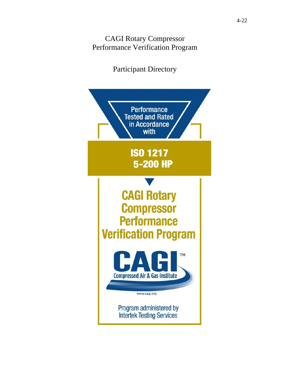### CAGI Rotary Compressor Performance Verification Program

# Participant Directory

<span id="page-0-0"></span>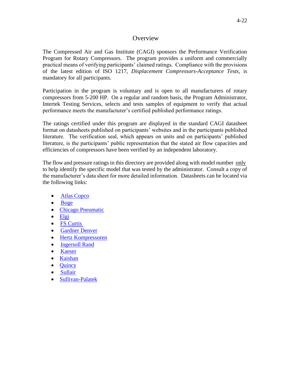#### **Overview**

The Compressed Air and Gas Institute (CAGI) sponsors the Performance Verification Program for Rotary Compressors. The program provides a uniform and commercially practical means of verifying participants' claimed ratings. Compliance with the provisions of the latest edition of ISO 1217, *Displacement Compressors-Acceptance Tests*, is mandatory for all participants*.*

Participation in the program is voluntary and is open to all manufacturers of rotary compressors from 5-200 HP. On a regular and random basis, the Program Administrator, Intertek Testing Services, selects and tests samples of equipment to verify that actual performance meets the manufacturer's certified published performance ratings.

The ratings certified under this program are displayed in the standard CAGI datasheet format on datasheets published on participants' websites and in the participants published literature. The verification seal, which appears on units and on participants' published literature, is the participants' public representation that the stated air flow capacities and efficiencies of compressors have been verified by an independent laboratory.

The flow and pressure ratings in this directory are provided along with model number only to help identify the specific model that was tested by the administrator. Consult a copy of the manufacturer's data sheet for more detailed information. Datasheets can be located via the following links:

- $\bullet$  [Atlas Copco](https://www.atlascopco.com/en-us/compressors/cagi-data-sheets)
- $\bullet$  [Boge](https://us.boge.com/en-us/cagi)
- [Chicago Pneumatic](https://www.cp.com/en-us/compressors/cagi)
- [Elgi](https://www.elgi.us/cagi-datasheets/)
- $\bullet$  FS Curtis
- [Gardner Denver](https://www.gardnerdenver.com/en-us/gdproducts/about-us/downloads-center/compressors)
- [Hertz Kompressoren](https://www.hertz-kompressoren.com/US_en/cagi-data-sheet)
- [Ingersoll Rand](https://www.ingersollrandproducts.com/en-us/air-compressor/cagi-data-sheets.html)
- $\bullet$  [Kaeser](https://us.kaeser.com/compressed-air-resources/downloads/?download=36955)
- [Kaishan](https://kaishanusa.com/cagi/)
- **Ouincy**
- $\bullet$  [Sullair](http://sullairinfo.com/Library/)
- <span id="page-1-0"></span>• [Sullivan-Palatek](https://www.sullivan-palatek.com/cagi-data-sheets/)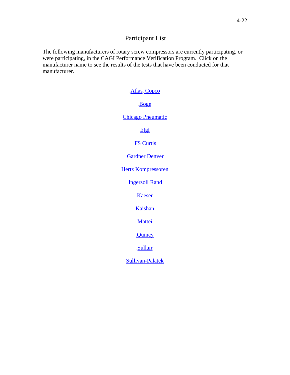#### Participant List

The following manufacturers of rotary screw compressors are currently participating, or were participating, in the CAGI Performance Verification Program. Click on the manufacturer name to see the results of the tests that have been conducted for that manufacturer.

#### [Atlas](#page-3-0)<sub>-Copco</sub>

#### [Boge](#page-5-0)

#### [Chicago Pneumatic](#page-7-0)

[Elgi](#page-8-0)

#### **[FS Curtis](#page-9-0)**

#### [Gardner Denver](#page-11-0)

[Hertz Kompressoren](#page-13-0)

**[Ingersoll Rand](#page-14-0)** 

[Kaeser](#page-16-0)

[Kaishan](#page-18-0)

[Mattei](#page-19-0)

[Quincy](#page-20-0)

[Sullair](#page-21-0)

[Sullivan-Palatek](#page-23-0)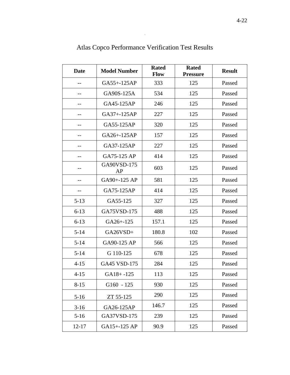<span id="page-3-0"></span>

| <b>Date</b> | <b>Model Number</b> | <b>Rated</b><br><b>Flow</b> | <b>Rated</b><br><b>Pressure</b> | <b>Result</b> |
|-------------|---------------------|-----------------------------|---------------------------------|---------------|
|             | GA55+-125AP         | 333                         | 125                             | Passed        |
|             | GA90S-125A          | 534                         | 125                             | Passed        |
|             | GA45-125AP          | 246                         | 125                             | Passed        |
| --          | GA37+-125AP         | 227                         | 125                             | Passed        |
| $-1$        | GA55-125AP          | 320                         | 125                             | Passed        |
|             | GA26+-125AP         | 157                         | 125                             | Passed        |
|             | GA37-125AP          | 227                         | 125                             | Passed        |
|             | GA75-125 AP         | 414                         | 125                             | Passed        |
|             | GA90VSD-175<br>AP   | 603                         | 125                             | Passed        |
|             | GA90+-125 AP        | 581                         | 125                             | Passed        |
|             | GA75-125AP          | 414                         | 125                             | Passed        |
| $5 - 13$    | GA55-125            | 327                         | 125                             | Passed        |
| $6 - 13$    | GA75VSD-175         | 488                         | 125                             | Passed        |
| $6 - 13$    | GA26+-125           | 157.1                       | 125                             | Passed        |
| $5 - 14$    | GA26VSD+            | 180.8                       | 102                             | Passed        |
| $5 - 14$    | GA90-125 AP         | 566                         | 125                             | Passed        |
| $5 - 14$    | G 110-125           | 678                         | 125                             | Passed        |
| $4 - 15$    | GA45 VSD-175        | 284                         | 125                             | Passed        |
| $4 - 15$    | $GA18 + -125$       | 113                         | 125                             | Passed        |
| $8 - 15$    | $G160 - 125$        | 930                         | 125                             | Passed        |
| $5-16$      | ZT 55-125           | 290                         | 125                             | Passed        |
| $3-16$      | GA26-125AP          | 146.7                       | 125                             | Passed        |
| $5 - 16$    | GA37VSD-175         | 239                         | 125                             | Passed        |
| $12 - 17$   | GA15+-125 AP        | 90.9                        | 125                             | Passed        |

Atlas Copco Performance Verification Test Results

 $\overline{a}$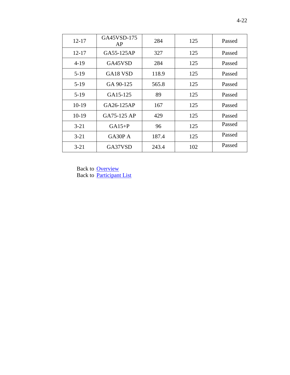| $12 - 17$ | GA45VSD-175<br>AP                | 284   | 125 | Passed |
|-----------|----------------------------------|-------|-----|--------|
| $12 - 17$ | GA55-125AP                       | 327   | 125 | Passed |
| $4-19$    | GA45VSD                          | 284   | 125 | Passed |
| $5-19$    | GA <sub>18</sub> V <sub>SD</sub> | 118.9 | 125 | Passed |
| $5-19$    | GA 90-125                        | 565.8 | 125 | Passed |
| $5-19$    | GA15-125                         | 89    | 125 | Passed |
| $10-19$   | GA26-125AP                       | 167   | 125 | Passed |
| $10-19$   | GA75-125 AP                      | 429   | 125 | Passed |
| $3 - 21$  | $GA15+P$                         | 96    | 125 | Passed |
| $3 - 21$  | GA30P A                          | 187.4 | 125 | Passed |
| $3 - 21$  | GA37VSD                          | 243.4 | 102 | Passed |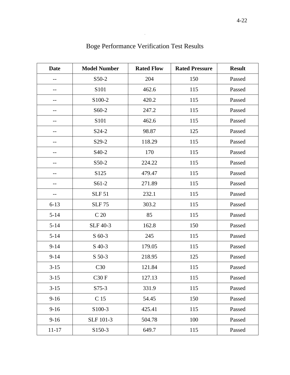<span id="page-5-0"></span>

| <b>Date</b> | <b>Model Number</b> | <b>Rated Flow</b> | <b>Rated Pressure</b> | <b>Result</b> |
|-------------|---------------------|-------------------|-----------------------|---------------|
| --          | S50-2               | 204               | 150                   | Passed        |
|             | S101                | 462.6             | 115                   | Passed        |
|             | S100-2              | 420.2             | 115                   | Passed        |
|             | S60-2               | 247.2             | 115                   | Passed        |
|             | S101                | 462.6             | 115                   | Passed        |
| --          | S <sub>24</sub> -2  | 98.87             | 125                   | Passed        |
| --          | S29-2               | 118.29            | 115                   | Passed        |
|             | S <sub>40</sub> -2  | 170               | 115                   | Passed        |
|             | S50-2               | 224.22            | 115                   | Passed        |
|             | S125                | 479.47            | 115                   | Passed        |
|             | $S61-2$             | 271.89            | 115                   | Passed        |
| --          | <b>SLF 51</b>       | 232.1             | 115                   | Passed        |
| $6 - 13$    | <b>SLF 75</b>       | 303.2             | 115                   | Passed        |
| $5 - 14$    | C <sub>20</sub>     | 85                | 115                   | Passed        |
| $5 - 14$    | <b>SLF 40-3</b>     | 162.8             | 150                   | Passed        |
| $5 - 14$    | $S$ 60-3            | 245               | 115                   | Passed        |
| $9 - 14$    | $S$ 40-3            | 179.05            | 115                   | Passed        |
| $9 - 14$    | $S$ 50-3            | 218.95            | 125                   | Passed        |
| $3-15$      | C30                 | 121.84            | 115                   | Passed        |
| $3-15$      | C30F                | 127.13            | 115                   | Passed        |
| $3-15$      | $S75-3$             | 331.9             | 115                   | Passed        |
| $9-16$      | C 15                | 54.45             | 150                   | Passed        |
| $9-16$      | S100-3              | 425.41            | 115                   | Passed        |
| $9-16$      | SLF 101-3           | 504.78            | 100                   | Passed        |
| $11 - 17$   | S150-3              | 649.7             | 115                   | Passed        |

# Boge Performance Verification Test Results

 $\mathcal{A}$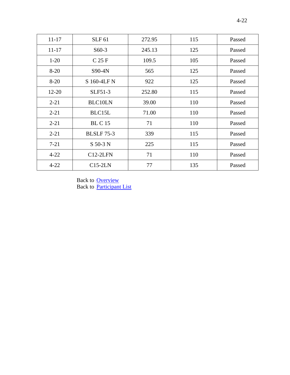| $11 - 17$ | <b>SLF 61</b>     | 272.95 | 115 | Passed |
|-----------|-------------------|--------|-----|--------|
| $11 - 17$ | $S60-3$           | 245.13 | 125 | Passed |
| $1-20$    | C <sub>25 F</sub> | 109.5  | 105 | Passed |
| $8 - 20$  | S90-4N            | 565    | 125 | Passed |
| $8 - 20$  | S 160-4LF N       | 922    | 125 | Passed |
| $12 - 20$ | SLF51-3           | 252.80 | 115 | Passed |
| $2 - 21$  | <b>BLC10LN</b>    | 39.00  | 110 | Passed |
| $2 - 21$  | BLC15L            | 71.00  | 110 | Passed |
| $2 - 21$  | <b>BL C</b> 15    | 71     | 110 | Passed |
| $2 - 21$  | <b>BLSLF</b> 75-3 | 339    | 115 | Passed |
| $7 - 21$  | S 50-3 N          | 225    | 115 | Passed |
| $4 - 22$  | $C12-2LFN$        | 71     | 110 | Passed |
| $4 - 22$  | $C15-2LN$         | 77     | 135 | Passed |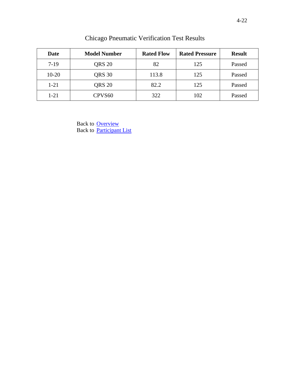<span id="page-7-0"></span>

| Date     | <b>Model Number</b> | <b>Rated Flow</b> | <b>Rated Pressure</b> | <b>Result</b> |
|----------|---------------------|-------------------|-----------------------|---------------|
| $7-19$   | <b>QRS 20</b>       | 82                | 125                   | Passed        |
| $10-20$  | QRS 30              | 113.8             | 125                   | Passed        |
| $1 - 21$ | <b>QRS 20</b>       | 82.2              | 125                   | Passed        |
| $1 - 21$ | CPVS <sub>60</sub>  | 322               | 102                   | Passed        |

Chicago Pneumatic Verification Test Results

Back to **[Overview](#page-0-0)** Back to [Participant List](#page-1-0)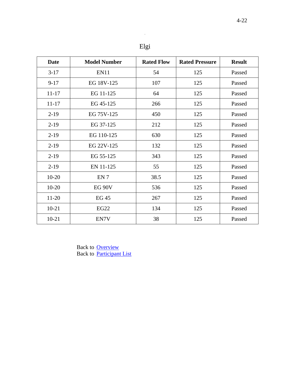$\mathcal{L}_{\mathcal{B}}$ 

<span id="page-8-0"></span>

| <b>Date</b> | <b>Model Number</b> | <b>Rated Flow</b> | <b>Rated Pressure</b> | <b>Result</b> |
|-------------|---------------------|-------------------|-----------------------|---------------|
| $3-17$      | EN11                | 54                | 125                   | Passed        |
| $9 - 17$    | EG 18V-125          | 107               | 125                   | Passed        |
| $11 - 17$   | EG 11-125           | 64                | 125                   | Passed        |
| $11 - 17$   | EG 45-125           | 266               | 125                   | Passed        |
| $2-19$      | EG 75V-125          | 450               | 125                   | Passed        |
| $2-19$      | EG 37-125           | 212               | 125                   | Passed        |
| $2-19$      | EG 110-125          | 630               | 125                   | Passed        |
| $2-19$      | EG 22V-125          | 132               | 125                   | Passed        |
| $2-19$      | EG 55-125           | 343               | 125                   | Passed        |
| $2-19$      | EN 11-125           | 55                | 125                   | Passed        |
| $10-20$     | EN <sub>7</sub>     | 38.5              | 125                   | Passed        |
| $10 - 20$   | EG <sub>90V</sub>   | 536               | 125                   | Passed        |
| $11-20$     | <b>EG 45</b>        | 267               | 125                   | Passed        |
| $10-21$     | <b>EG22</b>         | 134               | 125                   | Passed        |
| $10 - 21$   | EN7V                | 38                | 125                   | Passed        |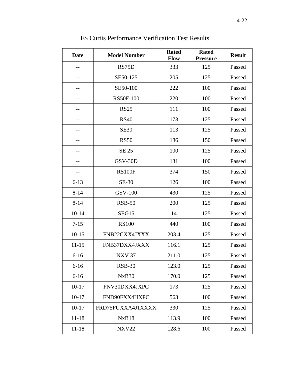<span id="page-9-0"></span>

| <b>Date</b> | <b>Model Number</b> | <b>Rated</b><br>Flow | <b>Rated</b><br><b>Pressure</b> | <b>Result</b> |
|-------------|---------------------|----------------------|---------------------------------|---------------|
|             | RS75D               | 333                  | 125                             | Passed        |
|             | SE50-125            | 205                  | 125                             | Passed        |
| $-$         | SE50-100            | 222                  | 100                             | Passed        |
|             | <b>RS50F-100</b>    | 220                  | 100                             | Passed        |
|             | <b>RS25</b>         | 111                  | 100                             | Passed        |
|             | <b>RS40</b>         | 173                  | 125                             | Passed        |
|             | <b>SE30</b>         | 113                  | 125                             | Passed        |
|             | <b>RS50</b>         | 186                  | 150                             | Passed        |
|             | <b>SE 25</b>        | 100                  | 125                             | Passed        |
| $- -$       | GSV-30D             | 131                  | 100                             | Passed        |
| --          | <b>RS100F</b>       | 374                  | 150                             | Passed        |
| $6 - 13$    | SE-30               | 126                  | 100                             | Passed        |
| $8 - 14$    | <b>GSV-100</b>      | 430                  | 125                             | Passed        |
| $8 - 14$    | <b>RSB-50</b>       | 200                  | 125                             | Passed        |
| $10 - 14$   | SEG15               | 14                   | 125                             | Passed        |
| $7 - 15$    | <b>RS100</b>        | 440                  | 100                             | Passed        |
| $10 - 15$   | FNB22CXX4JXXX       | 203.4                | 125                             | Passed        |
| $11 - 15$   | FNB37DXX4JXXX       | 116.1                | 125                             | Passed        |
| $6-16$      | <b>NXV 37</b>       | 211.0                | 125                             | Passed        |
| $6 - 16$    | <b>RSB-30</b>       | 123.0                | 125                             | Passed        |
| $6 - 16$    | NxB <sub>30</sub>   | 170.0                | 125                             | Passed        |
| $10 - 17$   | FNV30DXX4JXPC       | 173                  | 125                             | Passed        |
| $10-17$     | FND90FXX4HXPC       | 563                  | 100                             | Passed        |
| $10 - 17$   | FRD75FUXXA4J1XXXX   | 330                  | 125                             | Passed        |
| $11 - 18$   | NxB18               | 113.9                | 100                             | Passed        |
| $11 - 18$   | <b>NXV22</b>        | 128.6                | 100                             | Passed        |

FS Curtis Performance Verification Test Results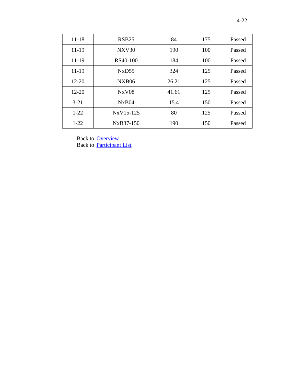| $11 - 18$ | RSB <sub>25</sub> | 84    | 175 | Passed |
|-----------|-------------------|-------|-----|--------|
| 11-19     | NXV30             | 190   | 100 | Passed |
| 11-19     | RS40-100          | 184   | 100 | Passed |
| 11-19     | NxD55             | 324   | 125 | Passed |
| $12 - 20$ | <b>NXB06</b>      | 26.21 | 125 | Passed |
| $12 - 20$ | <b>NxV08</b>      | 41.61 | 125 | Passed |
| $3 - 21$  | NxB04             | 15.4  | 150 | Passed |
| $1-22$    | NxV15-125         | 80    | 125 | Passed |
| $1-22$    | NxB37-150         | 190   | 150 | Passed |
|           |                   |       |     |        |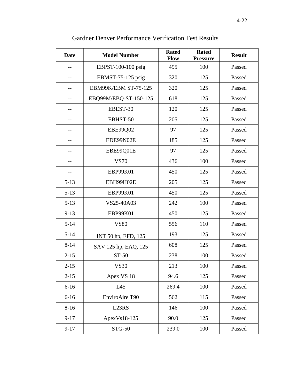<span id="page-11-0"></span>

| <b>Date</b> | <b>Model Number</b>         | <b>Rated</b><br><b>Flow</b> | <b>Rated</b><br><b>Pressure</b> | <b>Result</b> |
|-------------|-----------------------------|-----------------------------|---------------------------------|---------------|
|             | EBPST-100-100 psig          | 495                         | 100                             | Passed        |
|             | EBMST-75-125 psig           | 320                         | 125                             | Passed        |
|             | <b>EBM99K/EBM ST-75-125</b> | 320                         | 125                             | Passed        |
|             | EBQ99M/EBQ-ST-150-125       | 618                         | 125                             | Passed        |
|             | EBEST-30                    | 120                         | 125                             | Passed        |
|             | EBHST-50                    | 205                         | 125                             | Passed        |
|             | EBE99Q02                    | 97                          | 125                             | Passed        |
|             | EDE99N02E                   | 185                         | 125                             | Passed        |
|             | EBE99Q01E                   | 97                          | 125                             | Passed        |
| $-$         | <b>VS70</b>                 | 436                         | 100                             | Passed        |
| $-$         | <b>EBP99K01</b>             | 450                         | 125                             | Passed        |
| $5 - 13$    | EBH99H02E                   | 205                         | 125                             | Passed        |
| $5 - 13$    | <b>EBP99K01</b>             | 450                         | 125                             | Passed        |
| $5 - 13$    | VS25-40A03                  | 242                         | 100                             | Passed        |
| $9 - 13$    | <b>EBP99K01</b>             | 450                         | 125                             | Passed        |
| $5 - 14$    | <b>VS80</b>                 | 556                         | 110                             | Passed        |
| $5 - 14$    | INT 50 hp, EFD, 125         | 193                         | 125                             | Passed        |
| $8 - 14$    | SAV 125 hp, EAQ, 125        | 608                         | 125                             | Passed        |
| $2 - 15$    | ST-50                       | 238                         | 100                             | Passed        |
| $2 - 15$    | <b>VS30</b>                 | 213                         | 100                             | Passed        |
| $2 - 15$    | Apex VS 18                  | 94.6                        | 125                             | Passed        |
| $6 - 16$    | L45                         | 269.4                       | 100                             | Passed        |
| $6 - 16$    | EnviroAire T90              | 562                         | 115                             | Passed        |
| $8 - 16$    | L23RS                       | 146                         | 100                             | Passed        |
| $9 - 17$    | ApexVs18-125                | 90.0                        | 125                             | Passed        |
| $9 - 17$    | STG-50                      | 239.0                       | 100                             | Passed        |

### Gardner Denver Performance Verification Test Results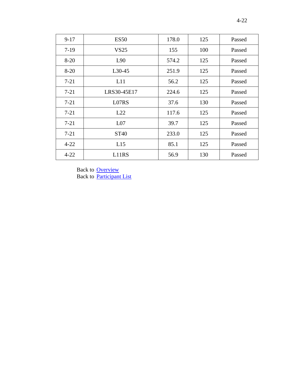| $9-17$   | <b>ES50</b>     | 178.0 | 125 | Passed |
|----------|-----------------|-------|-----|--------|
| $7-19$   | VS25            | 155   | 100 | Passed |
| $8-20$   | L90             | 574.2 | 125 | Passed |
| $8-20$   | $L30-45$        | 251.9 | 125 | Passed |
| $7 - 21$ | L11             | 56.2  | 125 | Passed |
| $7 - 21$ | LRS30-45E17     | 224.6 | 125 | Passed |
| $7 - 21$ | L07RS           | 37.6  | 130 | Passed |
| $7 - 21$ | L22             | 117.6 | 125 | Passed |
| $7 - 21$ | L <sub>07</sub> | 39.7  | 125 | Passed |
| $7 - 21$ | <b>ST40</b>     | 233.0 | 125 | Passed |
| $4 - 22$ | L15             | 85.1  | 125 | Passed |
| $4 - 22$ | L11RS           | 56.9  | 130 | Passed |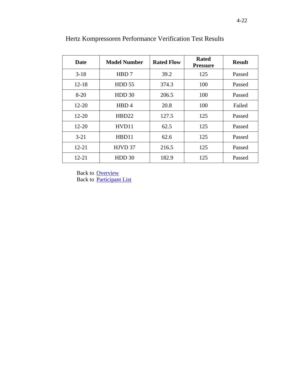| Date      | <b>Model Number</b> | <b>Rated Flow</b> | <b>Rated</b><br><b>Pressure</b> | <b>Result</b> |
|-----------|---------------------|-------------------|---------------------------------|---------------|
| $3-18$    | HBD 7               | 39.2              | 125                             | Passed        |
| $12 - 18$ | HDD <sub>55</sub>   | 374.3             | 100                             | Passed        |
| $8 - 20$  | HDD 30              | 206.5             | 100                             | Passed        |
| $12 - 20$ | HBD4                | 20.8              | 100                             | Failed        |
| $12 - 20$ | HBD22               | 127.5             | 125                             | Passed        |
| $12 - 20$ | HVD11               | 62.5              | 125                             | Passed        |
| $3 - 21$  | HBD11               | 62.6              | 125                             | Passed        |
| $12 - 21$ | HJVD 37             | 216.5             | 125                             | Passed        |
| $12 - 21$ | HDD <sub>30</sub>   | 182.9             | 125                             | Passed        |

<span id="page-13-0"></span>Hertz Kompressoren Performance Verification Test Results

Back to **[Overview](#page-0-0)** Back to [Participant List](#page-1-0)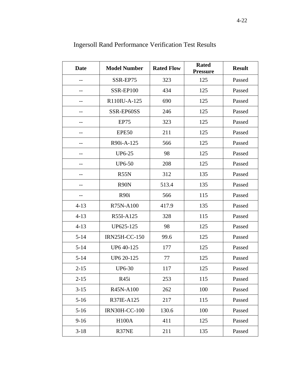<span id="page-14-0"></span>

| <b>Date</b> | <b>Model Number</b>  | <b>Rated Flow</b> | <b>Rated</b><br><b>Pressure</b> | <b>Result</b> |
|-------------|----------------------|-------------------|---------------------------------|---------------|
| --          | SSR-EP75             | 323               | 125                             | Passed        |
|             | SSR-EP100            | 434               | 125                             | Passed        |
|             | R110IU-A-125         | 690               | 125                             | Passed        |
| --          | SSR-EP60SS           | 246               | 125                             | Passed        |
|             | EP75                 | 323               | 125                             | Passed        |
|             | EPE50                | 211               | 125                             | Passed        |
|             | R90i-A-125           | 566               | 125                             | Passed        |
|             | <b>UP6-25</b>        | 98                | 125                             | Passed        |
|             | <b>UP6-50</b>        | 208               | 125                             | Passed        |
|             | R55N                 | 312               | 135                             | Passed        |
|             | R <sub>90</sub> N    | 513.4             | 135                             | Passed        |
|             | R <sub>90i</sub>     | 566               | 115                             | Passed        |
| $4 - 13$    | R75N-A100            | 417.9             | 135                             | Passed        |
| $4 - 13$    | R55I-A125            | 328               | 115                             | Passed        |
| $4 - 13$    | UP625-125            | 98                | 125                             | Passed        |
| $5 - 14$    | <b>IRN25H-CC-150</b> | 99.6              | 125                             | Passed        |
| $5 - 14$    | UP6 40-125           | 177               | 125                             | Passed        |
| $5 - 14$    | UP6 20-125           | 77                | 125                             | Passed        |
| $2 - 15$    | <b>UP6-30</b>        | 117               | 125                             | Passed        |
| $2 - 15$    | R45i                 | 253               | 115                             | Passed        |
| $3 - 15$    | R45N-A100            | 262               | 100                             | Passed        |
| $5-16$      | R37IE-A125           | 217               | 115                             | Passed        |
| $5-16$      | <b>IRN30H-CC-100</b> | 130.6             | 100                             | Passed        |
| $9 - 16$    | <b>H100A</b>         | 411               | 125                             | Passed        |
| $3-18$      | R37NE                | 211               | 135                             | Passed        |

Ingersoll Rand Performance Verification Test Results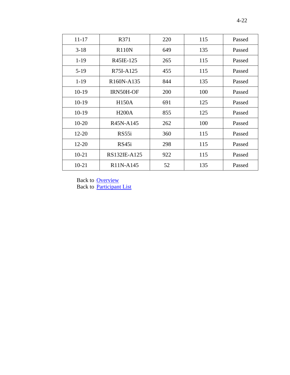| $11 - 17$ | R371         | 220 | 115 | Passed |
|-----------|--------------|-----|-----|--------|
| $3-18$    | <b>R110N</b> | 649 | 135 | Passed |
| $1-19$    | R45IE-125    | 265 | 115 | Passed |
| $5-19$    | R75I-A125    | 455 | 115 | Passed |
| $1-19$    | R160N-A135   | 844 | 135 | Passed |
| $10-19$   | IRN50H-OF    | 200 | 100 | Passed |
| $10-19$   | <b>H150A</b> | 691 | 125 | Passed |
| $10-19$   | <b>H200A</b> | 855 | 125 | Passed |
| $10 - 20$ | R45N-A145    | 262 | 100 | Passed |
| $12 - 20$ | RS55i        | 360 | 115 | Passed |
| $12 - 20$ | RS45i        | 298 | 115 | Passed |
| $10 - 21$ | RS132IE-A125 | 922 | 115 | Passed |
| $10-21$   | R11N-A145    | 52  | 135 | Passed |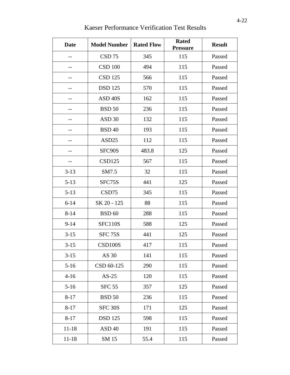<span id="page-16-0"></span>

| <b>Date</b> | <b>Model Number</b> | <b>Rated Flow</b> | <b>Rated</b><br><b>Pressure</b> | <b>Result</b> |
|-------------|---------------------|-------------------|---------------------------------|---------------|
|             | CSD <sub>75</sub>   | 345               | 115                             | Passed        |
|             | <b>CSD 100</b>      | 494               | 115                             | Passed        |
| $-$         | <b>CSD 125</b>      | 566               | 115                             | Passed        |
| --          | <b>DSD</b> 125      | 570               | 115                             | Passed        |
|             | ASD <sub>40S</sub>  | 162               | 115                             | Passed        |
|             | <b>BSD 50</b>       | 236               | 115                             | Passed        |
|             | ASD <sub>30</sub>   | 132               | 115                             | Passed        |
|             | <b>BSD 40</b>       | 193               | 115                             | Passed        |
|             | ASD <sub>25</sub>   | 112               | 115                             | Passed        |
| --          | SFC90S              | 483.8             | 125                             | Passed        |
| $-$         | <b>CSD125</b>       | 567               | 115                             | Passed        |
| $3 - 13$    | SM7.5               | 32                | 115                             | Passed        |
| $5 - 13$    | SFC75S              | 441               | 125                             | Passed        |
| $5 - 13$    | CSD75               | 345               | 115                             | Passed        |
| $6 - 14$    | SK 20 - 125         | 88                | 115                             | Passed        |
| $8 - 14$    | <b>BSD 60</b>       | 288               | 115                             | Passed        |
| $9 - 14$    | <b>SFC110S</b>      | 588               | 125                             | Passed        |
| $3 - 15$    | <b>SFC 75S</b>      | 441               | 125                             | Passed        |
| $3 - 15$    | CSD100S             | 417               | 115                             | Passed        |
| $3 - 15$    | AS 30               | 141               | 115                             | Passed        |
| $5 - 16$    | CSD 60-125          | 290               | 115                             | Passed        |
| $4 - 16$    | $AS-25$             | 120               | 115                             | Passed        |
| $5-16$      | <b>SFC 55</b>       | 357               | 125                             | Passed        |
| $8 - 17$    | <b>BSD 50</b>       | 236               | 115                             | Passed        |
| $8 - 17$    | <b>SFC 30S</b>      | 171               | 125                             | Passed        |
| $8 - 17$    | <b>DSD 125</b>      | 598               | 115                             | Passed        |
| $11 - 18$   | ASD <sub>40</sub>   | 191               | 115                             | Passed        |
| $11 - 18$   | SM 15               | 55.4              | 115                             | Passed        |

## Kaeser Performance Verification Test Results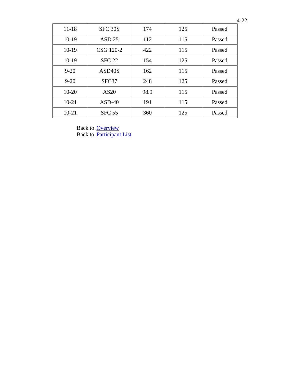| $11 - 18$ | SFC 30S             | 174  | 125 | Passed |
|-----------|---------------------|------|-----|--------|
| $10-19$   | ASD <sub>25</sub>   | 112  | 115 | Passed |
| $10-19$   | CSG 120-2           | 422  | 115 | Passed |
| $10-19$   | <b>SFC 22</b>       | 154  | 125 | Passed |
| $9 - 20$  | ASD <sub>40</sub> S | 162  | 115 | Passed |
| $9 - 20$  | SFC37               | 248  | 125 | Passed |
| $10 - 20$ | AS20                | 98.9 | 115 | Passed |
| $10 - 21$ | $ASD-40$            | 191  | 115 | Passed |
| $10 - 21$ | <b>SFC 55</b>       | 360  | 125 | Passed |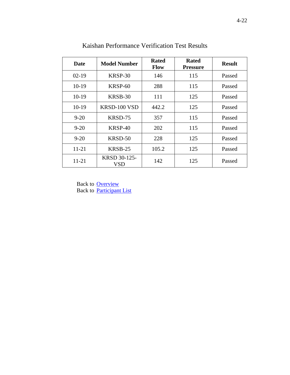<span id="page-18-0"></span>

| Date      | <b>Model Number</b> | <b>Rated</b><br><b>Flow</b> | <b>Rated</b><br><b>Pressure</b> | <b>Result</b> |
|-----------|---------------------|-----------------------------|---------------------------------|---------------|
| $02 - 19$ | KRSP-30             | 146                         | 115                             | Passed        |
| 10-19     | KRSP-60             | 288                         | 115                             | Passed        |
| 10-19     | KRSB-30             | 111                         | 125                             | Passed        |
| $10-19$   | KRSD-100 VSD        | 442.2                       | 125                             | Passed        |
| $9 - 20$  | KRSD-75             | 357                         | 115                             | Passed        |
| $9 - 20$  | KRSP-40             | 202                         | 115                             | Passed        |
| $9 - 20$  | KRSD-50             | 228                         | 125                             | Passed        |
| $11 - 21$ | KRSB-25             | 105.2                       | 125                             | Passed        |
| 11-21     | KRSD 30-125-<br>VSD | 142                         | 125                             | Passed        |

Kaishan Performance Verification Test Results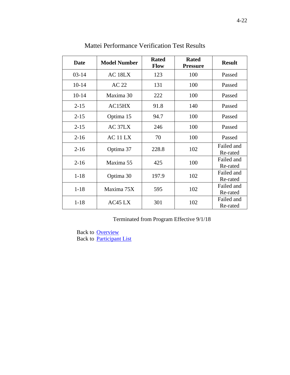<span id="page-19-0"></span>

| <b>Date</b> | <b>Model Number</b> | <b>Rated</b><br><b>Flow</b> | <b>Rated</b><br><b>Pressure</b> | <b>Result</b>          |
|-------------|---------------------|-----------------------------|---------------------------------|------------------------|
| $03-14$     | AC <sub>18LX</sub>  | 123                         | 100                             | Passed                 |
| $10 - 14$   | <b>AC 22</b>        | 131                         | 100                             | Passed                 |
| $10-14$     | Maxima 30           | 222                         | 100                             | Passed                 |
| $2 - 15$    | AC15HX              | 91.8                        | 140                             | Passed                 |
| $2 - 15$    | Optima 15           | 94.7                        | 100                             | Passed                 |
| $2 - 15$    | AC 37LX             | 246                         | 100                             | Passed                 |
| $2-16$      | AC 11 LX            | 70                          | 100                             | Passed                 |
| $2 - 16$    | Optima 37           | 228.8                       | 102                             | Failed and<br>Re-rated |
| $2 - 16$    | Maxima 55           | 425                         | 100                             | Failed and<br>Re-rated |
| $1 - 18$    | Optima 30           | 197.9                       | 102                             | Failed and<br>Re-rated |
| $1 - 18$    | Maxima 75X          | 595                         | 102                             | Failed and<br>Re-rated |
| $1 - 18$    | AC45 LX             | 301                         | 102                             | Failed and<br>Re-rated |

Mattei Performance Verification Test Results

Terminated from Program Effective 9/1/18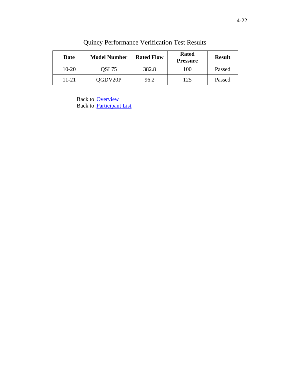<span id="page-20-0"></span>

| Date    | <b>Model Number</b> | <b>Rated Flow</b> | <b>Rated</b><br><b>Pressure</b> | <b>Result</b> |
|---------|---------------------|-------------------|---------------------------------|---------------|
| $10-20$ | QSI 75              | 382.8             | 100                             | Passed        |
| 11-21   | QGDV20P             | 96.2              | 125                             | Passed        |

Quincy Performance Verification Test Results

Back to **[Overview](#page-0-0)** Back to [Participant List](#page-1-0)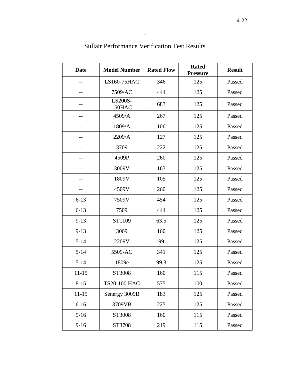<span id="page-21-0"></span>

| <b>Date</b> | <b>Model Number</b> | <b>Rated Flow</b> | <b>Rated</b><br><b>Pressure</b> | <b>Result</b> |
|-------------|---------------------|-------------------|---------------------------------|---------------|
|             | LS160-75HAC         | 346               | 125                             | Passed        |
|             | 7509/AC             | 444               | 125                             | Passed        |
|             | LS200S-<br>150HAC   | 683               | 125                             | Passed        |
|             | 4509/A              | 267               | 125                             | Passed        |
|             | 1809/A              | 106               | 125                             | Passed        |
| --          | 2209/A              | 127               | 125                             | Passed        |
| $- -$       | 3709                | 222               | 125                             | Passed        |
| --          | 4509P               | 260               | 125                             | Passed        |
|             | 3009V               | 163               | 125                             | Passed        |
|             | 1809V               | 105               | 125                             | Passed        |
|             | 4509V               | 260               | 125                             | Passed        |
| $6 - 13$    | 7509V               | 454               | 125                             | Passed        |
| $6 - 13$    | 7509                | 444               | 125                             | Passed        |
| $9-13$      | ST1109              | 63.5              | 125                             | Passed        |
| $9 - 13$    | 3009                | 160               | 125                             | Passed        |
| $5 - 14$    | 2209V               | 99                | 125                             | Passed        |
| $5 - 14$    | 5509-AC             | 341               | 125                             | Passed        |
| $5 - 14$    | 1809e               | 99.3              | 125                             | Passed        |
| 11-15       | ST3008              | 160               | 115                             | Passed        |
| $8 - 15$    | TS20-100 HAC        | 575               | 100                             | Passed        |
| $11 - 15$   | Senergy 3009B       | 183               | 125                             | Passed        |
| $6 - 16$    | 3709VB              | 225               | 125                             | Passed        |
| $9-16$      | ST3008              | 160               | 115                             | Passed        |
| $9 - 16$    | ST3708              | 219               | 115                             | Passed        |

# Sullair Performance Verification Test Results

 $\overline{1}$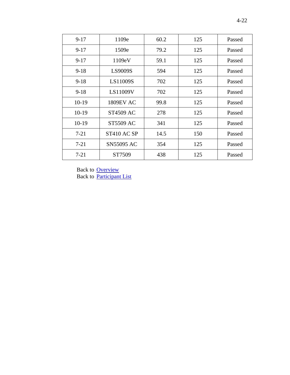| $9-17$   | 1109e             | 60.2 | 125 | Passed |
|----------|-------------------|------|-----|--------|
| $9 - 17$ | 1509e             | 79.2 | 125 | Passed |
| $9-17$   | 1109eV            | 59.1 | 125 | Passed |
| $9 - 18$ | <b>LS9009S</b>    | 594  | 125 | Passed |
| $9-18$   | LS11009S          | 702  | 125 | Passed |
| $9 - 18$ | LS11009V          | 702  | 125 | Passed |
| $10-19$  | <b>1809EV AC</b>  | 99.8 | 125 | Passed |
| $10-19$  | <b>ST4509 AC</b>  | 278  | 125 | Passed |
| $10-19$  | <b>ST5509 AC</b>  | 341  | 125 | Passed |
| $7 - 21$ | ST410 AC SP       | 14.5 | 150 | Passed |
| $7 - 21$ | <b>SN55095 AC</b> | 354  | 125 | Passed |
| $7 - 21$ | ST7509            | 438  | 125 | Passed |

Back to **[Overview](#page-0-0)** Back to [Participant List](#page-1-0)